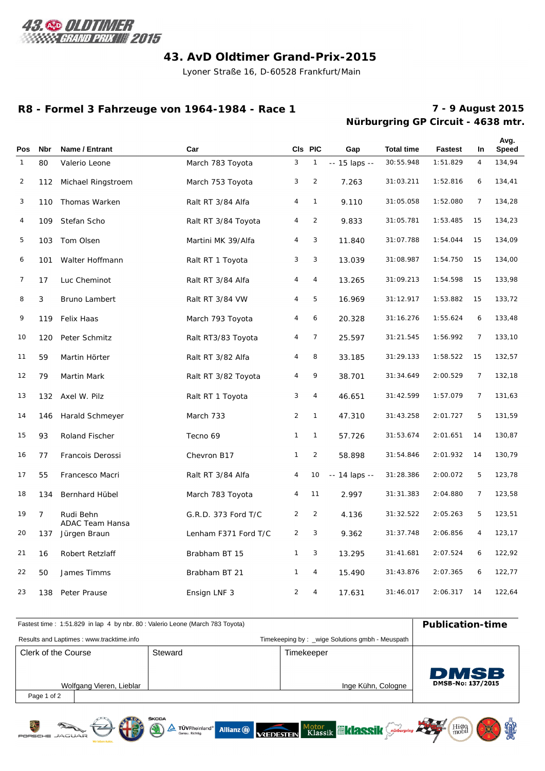

# **43. AvD Oldtimer Grand-Prix-2015**

Lyoner Straße 16, D-60528 Frankfurt/Main

#### **R8 - Formel 3 Fahrzeuge von 1964-1984 - Race 1**

# **Nürburgring GP Circuit - 4638 mtr. 7 - 9 August 2015**

| Pos          | <b>Nbr</b>     | Name / Entrant                      | Car                  |                | CIs PIC        | Gap            | <b>Total time</b> | <b>Fastest</b> | <b>In</b>      | Avg.<br><b>Speed</b> |
|--------------|----------------|-------------------------------------|----------------------|----------------|----------------|----------------|-------------------|----------------|----------------|----------------------|
| $\mathbf{1}$ | 80             | Valerio Leone                       | March 783 Toyota     | 3              | 1              | -- 15 laps --  | 30:55.948         | 1:51.829       | $\overline{4}$ | 134,94               |
| 2            |                | 112 Michael Ringstroem              | March 753 Toyota     | 3              | $\overline{2}$ | 7.263          | 31:03.211         | 1:52.816       | 6              | 134,41               |
| 3            | 110            | Thomas Warken                       | Ralt RT 3/84 Alfa    | 4              | $\mathbf{1}$   | 9.110          | 31:05.058         | 1:52.080       | $\overline{7}$ | 134,28               |
| 4            | 109            | Stefan Scho                         | Ralt RT 3/84 Toyota  | 4              | $\overline{2}$ | 9.833          | 31:05.781         | 1:53.485       | 15             | 134,23               |
| 5            | 103            | Tom Olsen                           | Martini MK 39/Alfa   | 4              | 3              | 11.840         | 31:07.788         | 1:54.044       | 15             | 134,09               |
| 6            | 101            | Walter Hoffmann                     | Ralt RT 1 Toyota     | 3              | 3              | 13.039         | 31:08.987         | 1:54.750       | 15             | 134,00               |
| 7            | 17             | Luc Cheminot                        | Ralt RT 3/84 Alfa    | 4              | 4              | 13.265         | 31:09.213         | 1:54.598       | 15             | 133,98               |
| 8            | 3              | Bruno Lambert                       | Ralt RT 3/84 VW      | 4              | 5              | 16.969         | 31:12.917         | 1:53.882       | 15             | 133,72               |
| 9            | 119            | Felix Haas                          | March 793 Toyota     | 4              | 6              | 20.328         | 31:16.276         | 1:55.624       | 6              | 133,48               |
| 10           | 120            | Peter Schmitz                       | Ralt RT3/83 Toyota   | 4              | $\overline{7}$ | 25.597         | 31:21.545         | 1:56.992       | $\overline{7}$ | 133,10               |
| 11           | 59             | Martin Hörter                       | Ralt RT 3/82 Alfa    | 4              | 8              | 33.185         | 31:29.133         | 1:58.522       | 15             | 132,57               |
| 12           | 79             | Martin Mark                         | Ralt RT 3/82 Toyota  | 4              | 9              | 38.701         | 31:34.649         | 2:00.529       | $\overline{7}$ | 132,18               |
| 13           | 132            | Axel W. Pilz                        | Ralt RT 1 Toyota     | 3              | 4              | 46.651         | 31:42.599         | 1:57.079       | $\overline{7}$ | 131,63               |
| 14           | 146            | Harald Schmeyer                     | March 733            | $\overline{2}$ | $\mathbf{1}$   | 47.310         | 31:43.258         | 2:01.727       | 5              | 131,59               |
| 15           | 93             | Roland Fischer                      | Tecno 69             | $\mathbf{1}$   | $\mathbf{1}$   | 57.726         | 31:53.674         | 2:01.651       | 14             | 130,87               |
| 16           | 77             | Francois Derossi                    | Chevron B17          | $\mathbf{1}$   | $\overline{2}$ | 58.898         | 31:54.846         | 2:01.932       | 14             | 130,79               |
| 17           | 55             | Francesco Macri                     | Ralt RT 3/84 Alfa    | 4              | 10             | $-14$ laps $-$ | 31:28.386         | 2:00.072       | 5              | 123,78               |
| 18           | 134            | Bernhard Hübel                      | March 783 Toyota     | 4              | 11             | 2.997          | 31:31.383         | 2:04.880       | $\overline{7}$ | 123,58               |
| 19           | $\overline{7}$ | Rudi Behn<br><b>ADAC Team Hansa</b> | G.R.D. 373 Ford T/C  | $\overline{2}$ | $\overline{2}$ | 4.136          | 31: 32.522        | 2:05.263       | 5              | 123,51               |
| 20           | 137            | Jürgen Braun                        | Lenham F371 Ford T/C | $\overline{2}$ | 3              | 9.362          | 31:37.748         | 2:06.856       | 4              | 123,17               |
| 21           | 16             | Robert Retzlaff                     | Brabham BT 15        | $\mathbf{1}$   | 3              | 13.295         | 31:41.681         | 2:07.524       | 6              | 122,92               |
| 22           | 50             | James Timms                         | Brabham BT 21        | $\mathbf{1}$   | 4              | 15.490         | 31:43.876         | 2:07.365       | 6              | 122,77               |
| 23           | 138            | Peter Prause                        | Ensign LNF 3         | $\overline{2}$ | 4              | 17.631         | 31:46.017         | 2:06.317       | 14             | 122,64               |

| Fastest time: 1:51.829 in lap 4 by nbr. 80 : Valerio Leone (March 783 Toyota) | <b>Publication-time</b>                  |  |            |                                                 |                   |
|-------------------------------------------------------------------------------|------------------------------------------|--|------------|-------------------------------------------------|-------------------|
|                                                                               | Results and Laptimes: www.tracktime.info |  |            | Timekeeping by: _wige Solutions gmbh - Meuspath |                   |
| Steward<br>Clerk of the Course                                                |                                          |  | Timekeeper |                                                 |                   |
|                                                                               |                                          |  |            |                                                 | <b>DMSB</b>       |
|                                                                               | Wolfgang Vieren, Lieblar                 |  |            | Inge Kühn, Cologne                              | DMSB-No: 137/2015 |
| Page 1 of 2                                                                   |                                          |  |            |                                                 |                   |